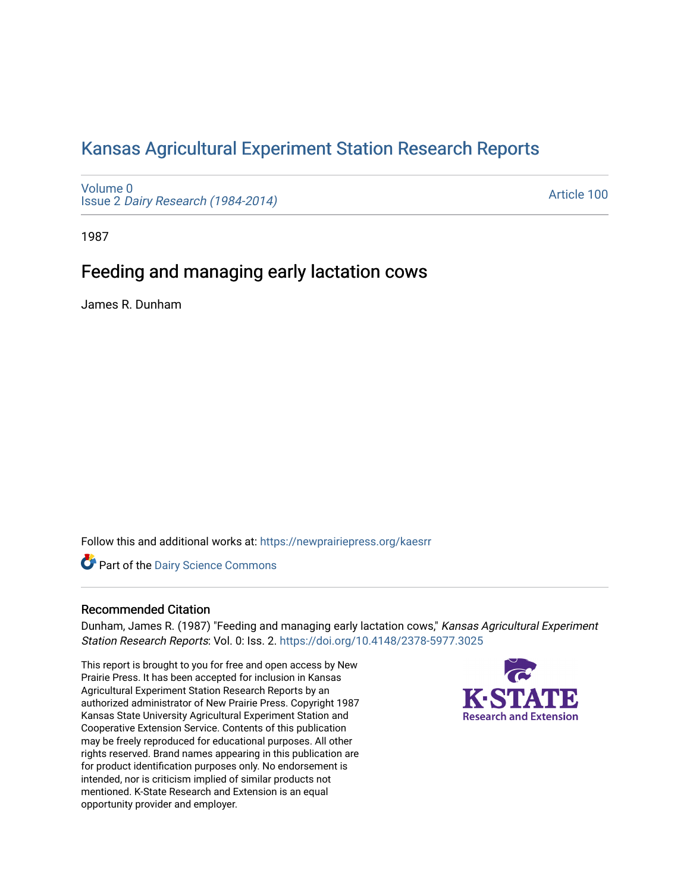# [Kansas Agricultural Experiment Station Research Reports](https://newprairiepress.org/kaesrr)

[Volume 0](https://newprairiepress.org/kaesrr/vol0) Issue 2 [Dairy Research \(1984-2014\)](https://newprairiepress.org/kaesrr/vol0/iss2) 

[Article 100](https://newprairiepress.org/kaesrr/vol0/iss2/100) 

1987

# Feeding and managing early lactation cows

James R. Dunham

Follow this and additional works at: [https://newprairiepress.org/kaesrr](https://newprairiepress.org/kaesrr?utm_source=newprairiepress.org%2Fkaesrr%2Fvol0%2Fiss2%2F100&utm_medium=PDF&utm_campaign=PDFCoverPages) 

**Part of the Dairy Science Commons** 

### Recommended Citation

Dunham, James R. (1987) "Feeding and managing early lactation cows," Kansas Agricultural Experiment Station Research Reports: Vol. 0: Iss. 2.<https://doi.org/10.4148/2378-5977.3025>

This report is brought to you for free and open access by New Prairie Press. It has been accepted for inclusion in Kansas Agricultural Experiment Station Research Reports by an authorized administrator of New Prairie Press. Copyright 1987 Kansas State University Agricultural Experiment Station and Cooperative Extension Service. Contents of this publication may be freely reproduced for educational purposes. All other rights reserved. Brand names appearing in this publication are for product identification purposes only. No endorsement is intended, nor is criticism implied of similar products not mentioned. K-State Research and Extension is an equal opportunity provider and employer.

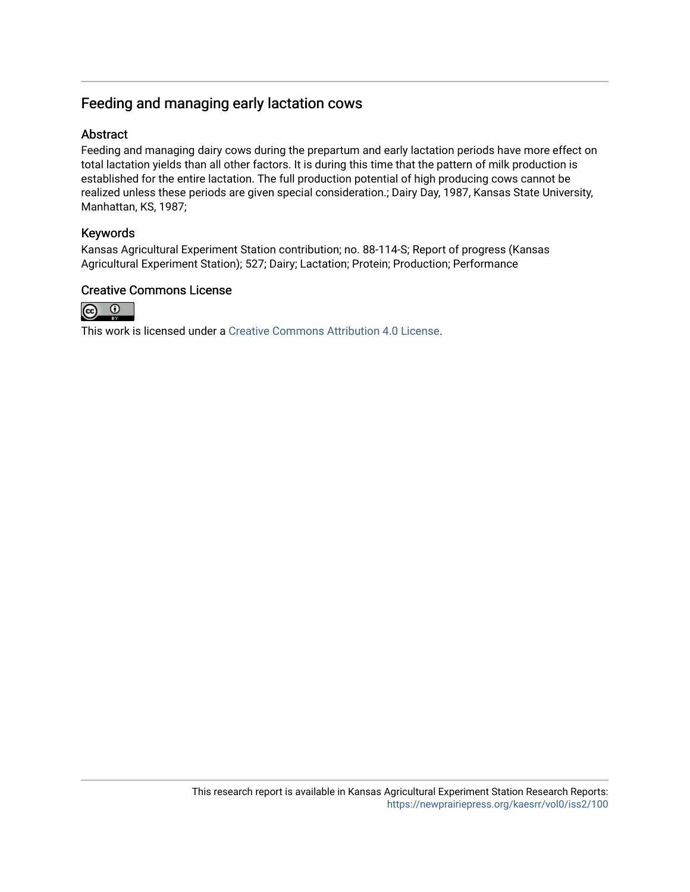## Feeding and managing early lactation cows

## Abstract

Feeding and managing dairy cows during the prepartum and early lactation periods have more effect on total lactation yields than all other factors. It is during this time that the pattern of milk production is established for the entire lactation. The full production potential of high producing cows cannot be realized unless these periods are given special consideration.; Dairy Day, 1987, Kansas State University, Manhattan, KS, 1987;

## Keywords

Kansas Agricultural Experiment Station contribution; no. 88-114-S; Report of progress (Kansas Agricultural Experiment Station); 527; Dairy; Lactation; Protein; Production; Performance

## Creative Commons License



This work is licensed under a [Creative Commons Attribution 4.0 License](https://creativecommons.org/licenses/by/4.0/).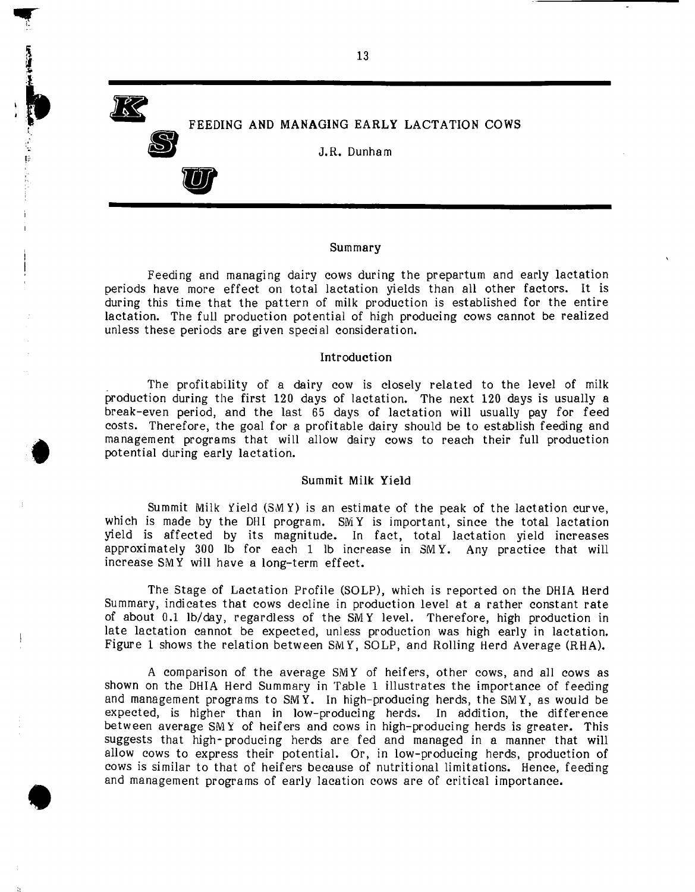**JA** 

**•** 

【POSTED PARTIES DE SUR DE SUR DE SUR DE SUR DE SUR DE SUR DE SUR DE SUR DE SUR DE SUR DE SUR DE SUR DE SUR DE

**•** 

**B** 

•

FEEDING AND MANAGING EARLY LACTATION COWS

J.R. Dunham

#### Summary

Feeding and managing dairy cows during the prepartum and early lactation periods have more effect on total lactation yields than all other factors. It is during this time that the pattern of milk production is established for the entire lactation. The full production potential of high producing cows cannot be realized unless these periods are given special consideration.

#### Introduction

. The profitability of a dairy cow is closely related to the level of milk production during the first 120 days of lactation. The next 120 days is usually a break-even period, and the last 65 days of lactation will usually pay for feed costs. Therefore, the goal for a profitable dairy should be to establish feeding and management programs that will allow dairy cows to reach their full production potential during early lactation.

### Summit Milk Yield

Summit Milk Yield (SM Y) is an estimate of the peak of the lactation curve, which is made by the DHI program. SMY is important, since the total lactation yield is affected by its magnitude. In fact, total lactation yield increases approximately 300 lb for each 1 lb increase in 8M Y. Any practice that will increase SM Y will have a long-term effect.

The Stage of Lactation Profile (SOLP), which is reported on the DHIA Herd Summary, indicates that cows decline in production level at a rather constant rate of about 0.1 Ib/day, regardless of the SMY level. Therefore, high production in late lactation cannot be expected, unless production was high early in lactation. Figure 1 shows the relation between SM Y, SOLP, and Rolling Herd Average (RHA).

A comparison of the average SMY of heifers, other cows, and all cows as shown on the DHIA Herd Summary in Table 1 illustrates the importance of feeding and management programs to SMY. In high-producing herds, the SMY, as would be expected, is higher than in low-producing herds. In addition, the difference between average SM Y of heifers and cows in high-producing herds is greater. This suggests that high- producing herds are fed and managed in a manner that will allow cows to express their potential. Or, in low-producing herds, production of cows is similar to that of heifers because of nutritional limitations. Hence, feeding and management programs of early lacation cows are of critical importance.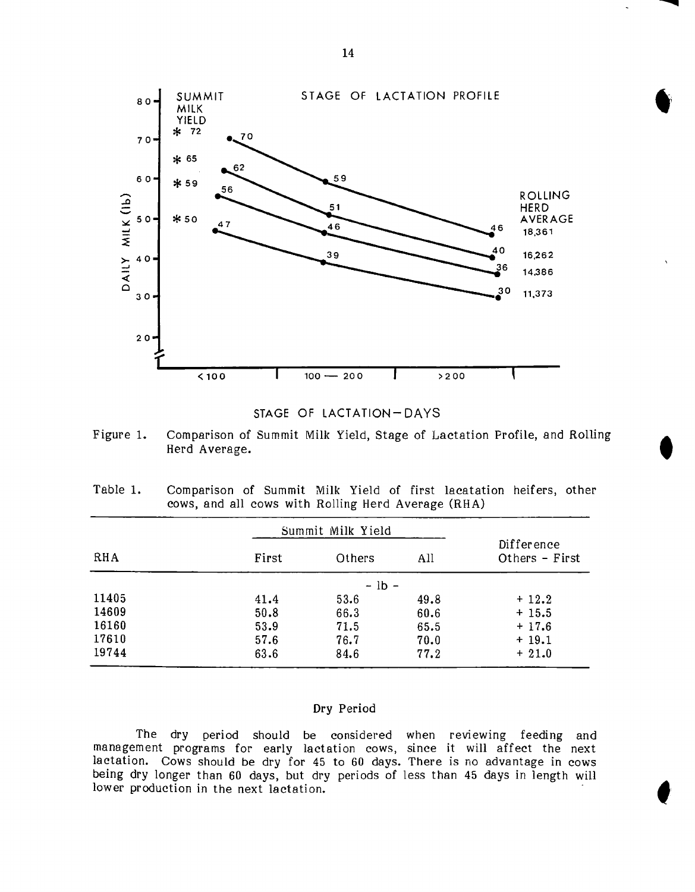



Figure 1. Comparison of Summit Milk Yield, Stage of Lactation Profile, and Rolling Herd Average.

| Table 1. | Comparison of Summit Milk Yield of first lacatation heifers, other |  |  |  |  |  |
|----------|--------------------------------------------------------------------|--|--|--|--|--|
|          | cows, and all cows with Rolling Herd Average (RHA)                 |  |  |  |  |  |

|       | Summit Milk Yield |         |      |                              |
|-------|-------------------|---------|------|------------------------------|
| RHA   | First             | Others  | All  | Difference<br>Others - First |
|       |                   | $-1b -$ |      |                              |
| 11405 | 41.4              | 53.6    | 49.8 | $+12.2$                      |
| 14609 | 50.8              | 66.3    | 60.6 | $+15.5$                      |
| 16160 | 53.9              | 71.5    | 65.5 | $+17.6$                      |
| 17610 | 57.6              | 76.7    | 70.0 | $+19.1$                      |
| 19744 | 63.6              | 84.6    | 77.2 | $+21.0$                      |

### Dry Period

The dry period should be considered when reviewing feeding and management programs for early lactation cows, since it will affect the next lactation. Cows should be dry for 45 to 60 days. There is no advantage in cows being dry longer than 60 days, but dry periods of less than 45 days in length will lower production in the next lactation.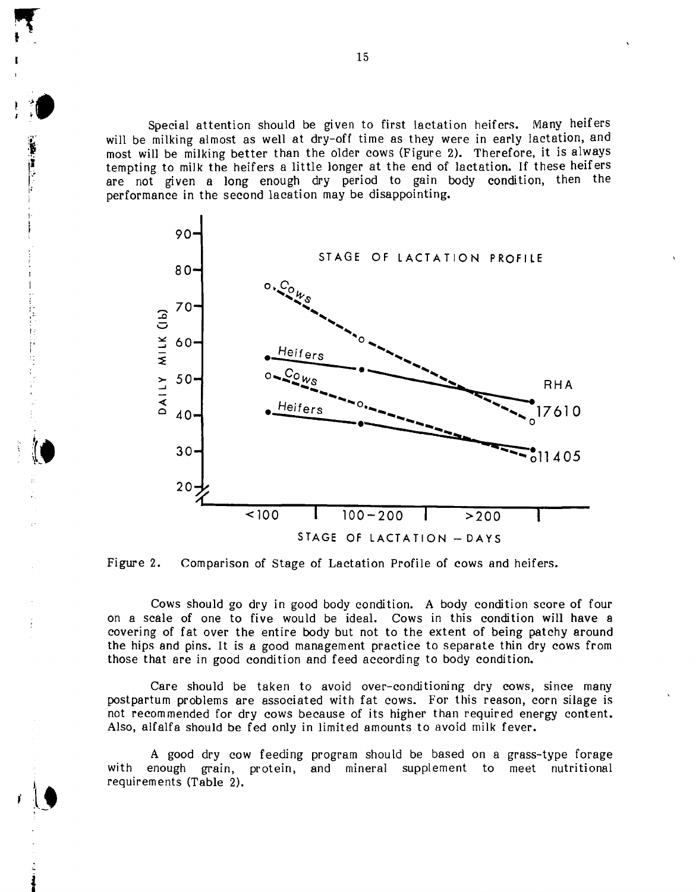Special attention should be given to first lactation heifers. Many heifers will be milking almost as well at dry-off time as they were in early lactation, and most will be milking better than the older cows (Figure 2). Therefore, it is always tempting to milk the heifers a little longer at the end of lactation. If these heifers are not given a long enough dry period to gain body condition, then the performance in the second lacation may be disappointing.





I'

 $\vdash$ 

Cows should go dry in good body condition. A body condition score of four on a scale of one to five would be ideal. Cows in this condition will have a covering of fat over the entire body but not to the extent of being patchy around the hips and pins. It is a good management practice to separate thin dry cows from those that are in good condition and feed according to body condition.

Care should be taken to avoid over-conditioning dry cows, since many postpartum problems are associated with fat cows. For this reason, corn silage is not recommended for dry cows because of its higher than required energy content. Also, alfalfa should be fed only in limited amounts to avoid milk fever.

A good dry cow feeding program should be based on a grass-type forage with enough grain, protein, and mineral supplement to meet nutritional requirements (Table 2).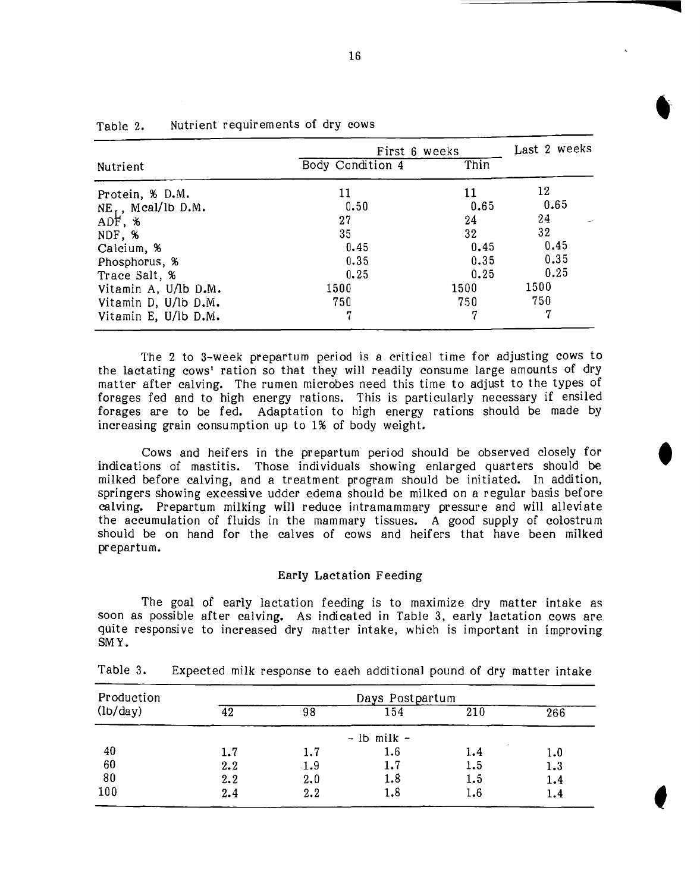|                                              | First 6 weeks    | Last 2 weeks |                 |
|----------------------------------------------|------------------|--------------|-----------------|
| Nutrient                                     | Body Condition 4 | Thin         |                 |
| Protein, % D.M.                              | 11               | 11           | 12              |
|                                              | 0.50             | 0.65         | 0.65            |
| $NE_{\text{ADF}}$ , Mcal/lb D.M.<br>ADF, $%$ | 27               | 24           | 24              |
| NDF, %                                       | 35               | 32           | 32 <sub>1</sub> |
| Calcium, %                                   | 0.45             | 0.45         | 0.45            |
| Phosphorus, %                                | 0.35             | 0.35         | 0.35            |
| Trace Salt, %                                | 0.25             | 0.25         | 0.25            |
| Vitamin A, U/lb D.M.                         | 1500             | 1500         | 1500            |
| Vitamin D, U/lb D.M.                         | 750              | 750          | 750             |
| Vitamin E, U/lb D.M.                         | 7                | 7            | 7               |

| Table 2. | Nutrient requirements of dry cows |
|----------|-----------------------------------|
|----------|-----------------------------------|

The 2 to 3-week prepartum period is a critical time for adjusting cows to the lactating cows' ration so that they will readily consume large amounts of dry matter after calving. The rumen microbes need this time to adjust to the types of forages fed and to high energy rations. This is particularly necessary if ensiled forages are to be fed. Adaptation to high energy rations should be made by increasing grain consumption up to 1% of body weight.

Cows and heifers in the prepartum period should be observed closely for indications of mastitis. Those individuals showing enlarged quarters should be milked before calving, and a treatment program should be initiated. In addition, springers showing excessive udder edema should be milked on a regular basis before calving. Prepartum milking will reduce intramammary pressure and will alleviate the accumulation of fluids in the mammary tissues. A good supply of colostrum should be on hand for the calves of cows and heifers that have been milked prepartum.

#### Early Lactation Feeding

The goal of early lactation feeding is to maximize dry matter intake as soon as possible after calving. As indicated in Table 3, early lactation cows are quite responsive to increased dry matter intake, which is important in improving SMY.

| Production                   |     |     | Days Postpartum |     |     |
|------------------------------|-----|-----|-----------------|-----|-----|
| $\left(1b/\text{day}\right)$ | 42  | 98  | 154             | 210 | 266 |
|                              |     |     | $-$ lb milk $-$ |     |     |
| 40                           | 1.7 | 1.7 | 1.6             | 1.4 | 1.0 |
| 60                           | 2.2 | 1.9 | 1.7             | 1.5 | 1.3 |
| 80                           | 2.2 | 2.0 | 1.8             | 1.5 | 1.4 |
| 100                          | 2.4 | 2.2 | 1.8             | 1.6 | 1.4 |

Table 3. Expected milk response to each additional pound of dry matter intake

**q**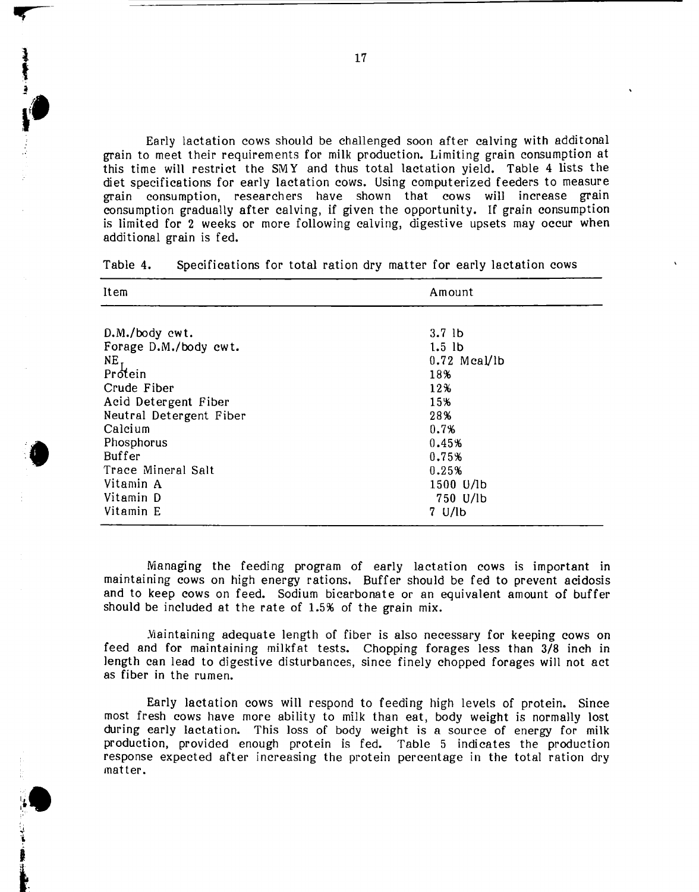Early lactation cows should be challenged soon after calving with additonal grain to meet their requirements for milk production. Limiting grain consumption at this time will restrict the SM Y and thus total lactation yield. Table 4 lists the diet specifications for early lactation cows. Using computerized feeders to measure grain consumption, researchers have shown that cows will increase grain consumption gradually after calving, if given the opportunity. If grain consumption is limited for 2 weeks or more following calving, digestive upsets may occur when additional grain is fed.

| Item                    | Amount                        |  |  |
|-------------------------|-------------------------------|--|--|
| D.M./body cwt.          | $3.7$ lb                      |  |  |
| Forage D.M./body cwt.   | $1.5$ lb                      |  |  |
| $NE$ ,                  | $0.72$ Mcal/lb                |  |  |
| Protein                 | 18%                           |  |  |
| Crude Fiber             | 12%                           |  |  |
| Acid Detergent Fiber    | 15%                           |  |  |
| Neutral Detergent Fiber | 28%                           |  |  |
| Calcium                 | 0.7%                          |  |  |
| Phosphorus              | 0.45%                         |  |  |
| Buffer                  | 0.75%                         |  |  |
| Trace Mineral Salt      | 0.25%                         |  |  |
| Vitamin A               | 1500 U/lb                     |  |  |
| Vitamin D               | 750 U/lb                      |  |  |
| Vitamin E               | $7 \frac{\text{U}}{\text{D}}$ |  |  |

Table 4. Specifications for total ration dry matter for early lactation cows

Managing the feeding program of early lactation cows is important in maintaining cows on high energy rations. Buffer should be fed to prevent acidosis and to keep cows on feed. Sodium bicarbonate or an equivalent amount of buffer should be included at the rate of 1.5% of the grain mix.

.Yiaintaining adequate length of fiber is also necessary for keeping cows on feed and for maintaining milkfat tests. Chopping forages less than 3/8 inch in length can lead to digestive disturbances, since finely chopped forages will not act as fiber in the rumen.

Early lactation cows will respond to feeding high levels of protein. Since most fresh cows have more ability to milk than eat, body weight is normally lost during early lactation. This loss of body weight is a source of energy for milk production, provided enough protein is fed. Table 5 indicates the production response expected after increasing the protein percentage in the total ration dry matter.

1 f<br>f<br>f<br>f<br>f

**••**

~.

 $\bullet$